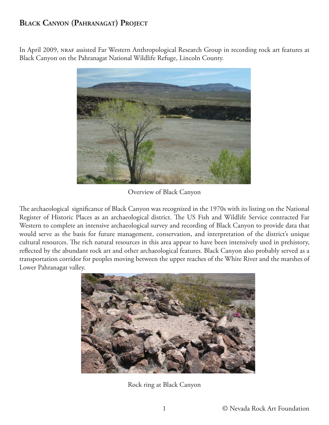## **BLACK CANYON (PAHRANAGAT) PROJECT**

In April 2009, NRAF assisted Far Western Anthropological Research Group in recording rock art features at Black Canyon on the Pahranagat National Wildlife Refuge, Lincoln County.



Overview of Black Canyon

The archaeological significance of Black Canyon was recognized in the 1970s with its listing on the National Register of Historic Places as an archaeological district. The US Fish and Wildlife Service contracted Far Western to complete an intensive archaeological survey and recording of Black Canyon to provide data that would serve as the basis for future management, conservation, and interpretation of the district's unique cultural resources. The rich natural resources in this area appear to have been intensively used in prehistory, reflected by the abundant rock art and other archaeological features. Black Canyon also probably served as a transportation corridor for peoples moving between the upper reaches of the White River and the marshes of Lower Pahranagat valley.



Rock ring at Black Canyon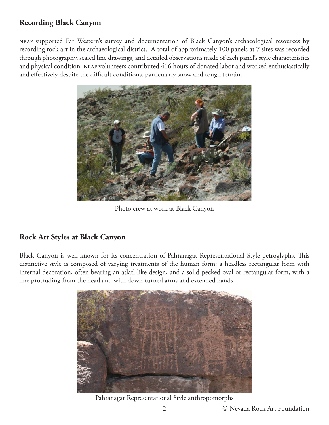## **Recording Black Canyon**

nraf supported Far Western's survey and documentation of Black Canyon's archaeological resources by recording rock art in the archaeological district. A total of approximately 100 panels at 7 sites was recorded through photography, scaled line drawings, and detailed observations made of each panel's style characteristics and physical condition. NRAF volunteers contributed 416 hours of donated labor and worked enthusiastically and effectively despite the difficult conditions, particularly snow and tough terrain.



Photo crew at work at Black Canyon

## **Rock Art Styles at Black Canyon**

Black Canyon is well-known for its concentration of Pahranagat Representational Style petroglyphs. This distinctive style is composed of varying treatments of the human form: a headless rectangular form with internal decoration, often bearing an atlatl-like design, and a solid-pecked oval or rectangular form, with a line protruding from the head and with down-turned arms and extended hands.



Pahranagat Representational Style anthropomorphs